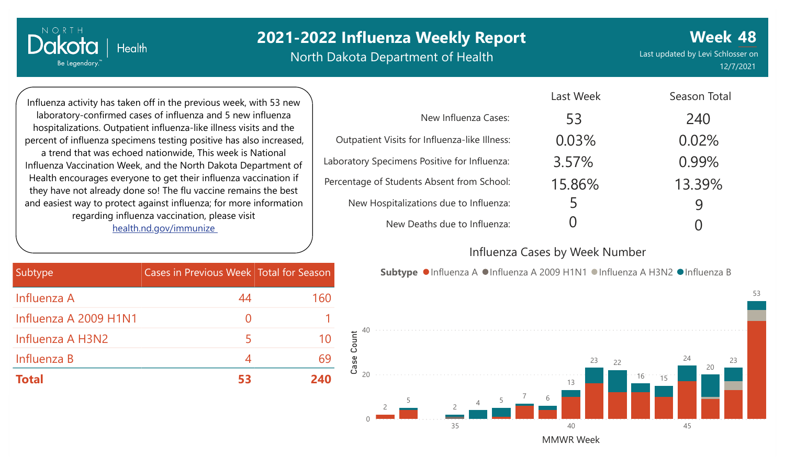# **2021-2022 Influenza Weekly Report**

North Dakota Department of Health

**Week 48** Last updated by Levi Schlosser on 12/7/2021

Influenza activity has taken off in the previous week, with 53 new laboratory-confirmed cases of influenza and 5 new influenza hospitalizations. Outpatient influenza-like illness visits and the percent of influenza specimens testing positive has also increased, a trend that was echoed nationwide, This week is National Influenza Vaccination Week, and the North Dakota Department of Health encourages everyone to get their influenza vaccination if they have not already done so! The flu vaccine remains the best and easiest way to protect against influenza; for more information regarding influenza vaccination, please visit [health.nd.gov/immunize](http://health.nd.gov/immunize)

**Health** 

NORTH

Dakotc

Be Legendary.

|                                               | Last Week | Season Total |
|-----------------------------------------------|-----------|--------------|
| New Influenza Cases:                          | 53        | 240          |
| Outpatient Visits for Influenza-like Illness: | 0.03%     | 0.02%        |
| Laboratory Specimens Positive for Influenza:  | 3.57%     | 0.99%        |
| Percentage of Students Absent from School:    | 15.86%    | 13.39%       |
| New Hospitalizations due to Influenza:        | 5         | 9            |
| New Deaths due to Influenza:                  |           |              |

#### Influenza Cases by Week Number

| Subtype               | Cases in Previous Week Total for Season |     |
|-----------------------|-----------------------------------------|-----|
| Influenza A           | 44                                      | 160 |
| Influenza A 2009 H1N1 | $\left( \right)$                        |     |
| Influenza A H3N2      | 5                                       | 10  |
| Influenza B           | 4                                       | 69  |
| <b>Total</b>          | 53                                      | 240 |

Subtype ●Influenza A ●Influenza A 2009 H1N1 ●Influenza A H3N2 ●Influenza B

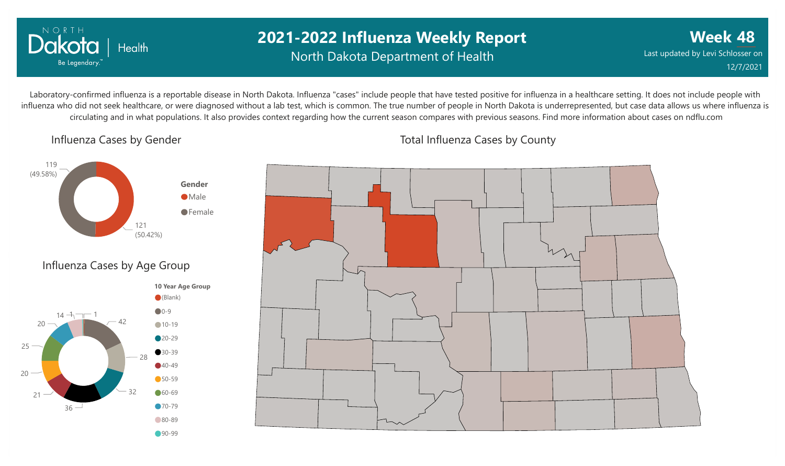

## **2021-2022 Influenza Weekly Report** North Dakota Department of Health

**Week 48** Last updated by Levi Schlosser on 12/7/2021

Laboratory-confirmed influenza is a reportable disease in North Dakota. Influenza "cases" include people that have tested positive for influenza in a healthcare setting. It does not include people with influenza who did not seek healthcare, or were diagnosed without a lab test, which is common. The true number of people in North Dakota is underrepresented, but case data allows us where influenza is circulating and in what populations. It also provides context regarding how the current season compares with previous seasons. Find more information about cases on ndflu.com

Influenza Cases by Gender







Total Influenza Cases by County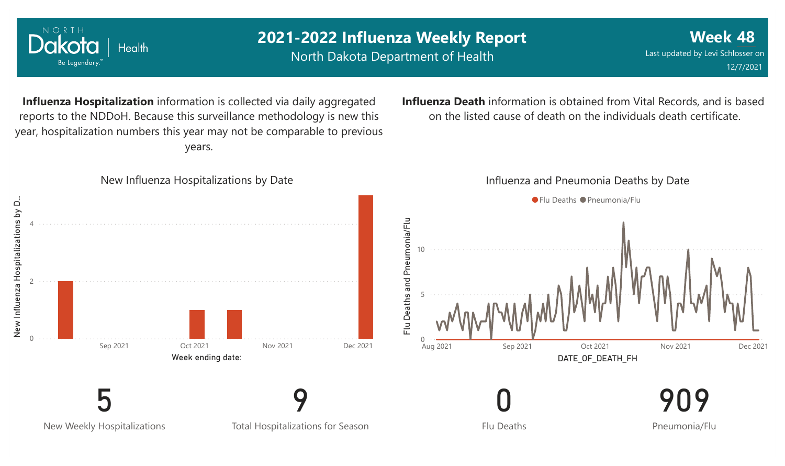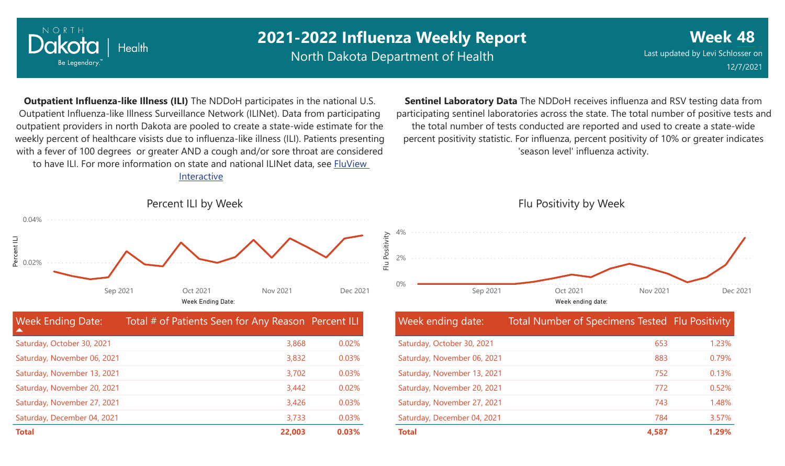

Saturday, November 27, 2021 Saturday, December 04, 2021

## **2021-2022 Influenza Weekly Report**

North Dakota Department of Health

**Week 48** Last updated by Levi Schlosser on 12/7/2021

**Outpatient Influenza-like Illness (ILI)** The NDDoH participates in the national U.S. Outpatient Influenza-like Illness Surveillance Network (ILINet). Data from participating outpatient providers in north Dakota are pooled to create a state-wide estimate for the weekly percent of healthcare visists due to influenza-like illness (ILI). Patients presenting with a fever of 100 degrees or greater AND a cough and/or sore throat are considered to have ILI. For more information [on state and national ILINet data, see FluView](http://fluview%20interactive/) Interactive

**Sentinel Laboratory Data** The NDDoH receives influenza and RSV testing data from participating sentinel laboratories across the state. The total number of positive tests and the total number of tests conducted are reported and used to create a state-wide percent positivity statistic. For influenza, percent positivity of 10% or greater indicates 'season level' influenza activity.



**Total 22,003 0.03%**

3,426 3,733 0.03% 0.03% Flu Positivity by Week



| Week ending date:           | Total Number of Specimens Tested Flu Positivity |       |
|-----------------------------|-------------------------------------------------|-------|
| Saturday, October 30, 2021  | 653                                             | 1.23% |
| Saturday, November 06, 2021 | 883                                             | 0.79% |
| Saturday, November 13, 2021 | 752                                             | 0.13% |
| Saturday, November 20, 2021 | 772                                             | 0.52% |
| Saturday, November 27, 2021 | 743                                             | 1.48% |
| Saturday, December 04, 2021 | 784                                             | 3.57% |
| <b>Total</b>                | 4.587                                           | 1.29% |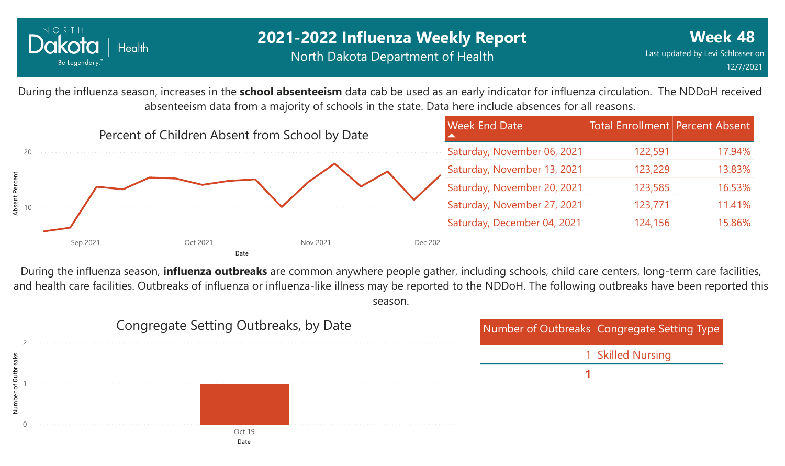

During the influenza season, increases in the **school absenteeism** data cab be used as an early indicator for influenza circulation. The NDDoH received absenteeism data from a majority of schools in the state. Data here include absences for all reasons.



During the influenza season, **influenza outbreaks** are common anywhere people gather, including schools, child care centers, long-term care facilities, and health care facilities. Outbreaks of influenza or influenza-like illness may be reported to the NDDoH. The following outbreaks have been reported this season.

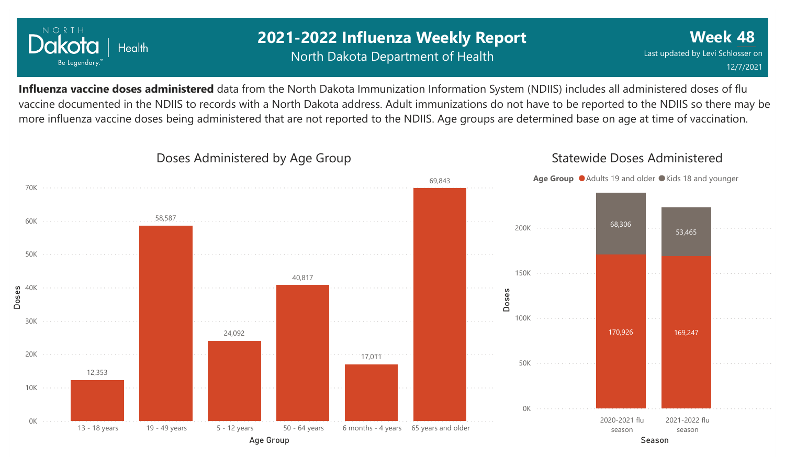

## **2021-2022 Influenza Weekly Report** North Dakota Department of Health

**Week 48** Last updated by Levi Schlosser on 12/7/2021

Statewide Doses Administered

**Influenza vaccine doses administered** data from the North Dakota Immunization Information System (NDIIS) includes all administered doses of flu vaccine documented in the NDIIS to records with a North Dakota address. Adult immunizations do not have to be reported to the NDIIS so there may be more influenza vaccine doses being administered that are not reported to the NDIIS. Age groups are determined base on age at time of vaccination.



#### Doses Administered by Age Group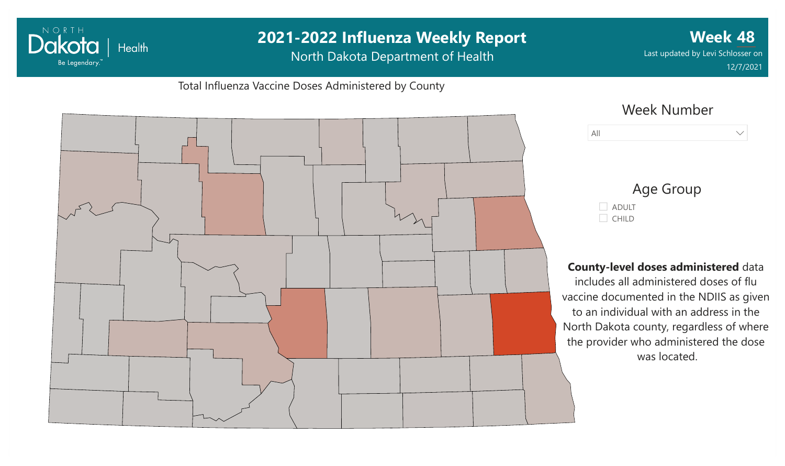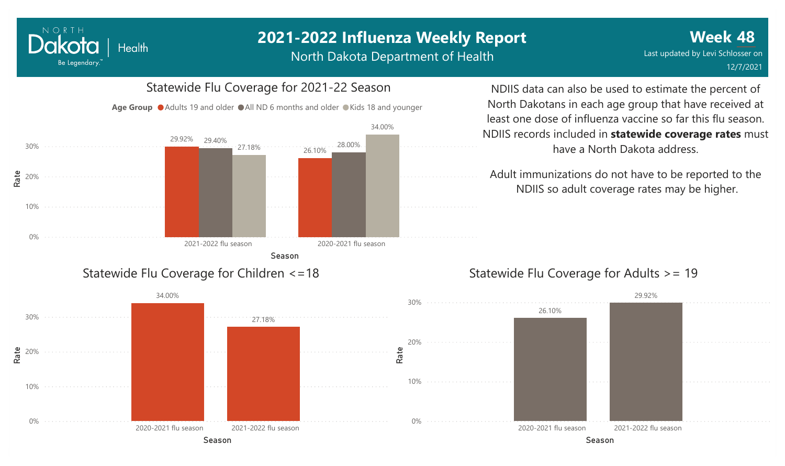#### NORTH Dakota Health Be Legendary.

## **2021-2022 Influenza Weekly Report**

North Dakota Department of Health



NDIIS data can also be used to estimate the percent of North Dakotans in each age group that have received at least one dose of influenza vaccine so far this flu season. NDIIS records included in **statewide coverage rates** must have a North Dakota address.

Adult immunizations do not have to be reported to the NDIIS so adult coverage rates may be higher.